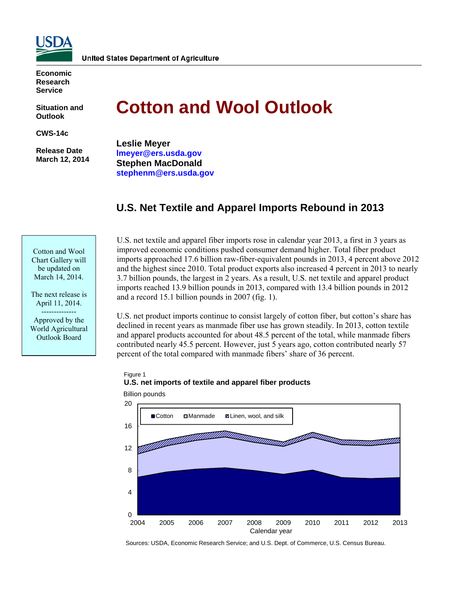

**Economic Research Service** 

**Situation and Outlook** 

**CWS-14c** 

 **Release Date March 12, 2014** 

# **Cotton and Wool Outlook**

**Leslie Meyer [lmeyer@ers.usda.gov](mailto:lmeyer@ers.usda.gov) Stephen MacDonald [stephenm@ers.usda.gov](mailto:stephenm@ers.usda.gov)** 

# **U.S. Net Textile and Apparel Imports Rebound in 2013**

Cotton and Wool Chart Gallery will be updated on March 14, 2014.

The next release is April 11, 2014. -------------- Approved by the World Agricultural Outlook Board

U.S. net textile and apparel fiber imports rose in calendar year 2013, a first in 3 years as improved economic conditions pushed consumer demand higher. Total fiber product imports approached 17.6 billion raw-fiber-equivalent pounds in 2013, 4 percent above 2012 and the highest since 2010. Total product exports also increased 4 percent in 2013 to nearly 3.7 billion pounds, the largest in 2 years. As a result, U.S. net textile and apparel product imports reached 13.9 billion pounds in 2013, compared with 13.4 billion pounds in 2012 and a record 15.1 billion pounds in 2007 (fig. 1).

U.S. net product imports continue to consist largely of cotton fiber, but cotton's share has declined in recent years as manmade fiber use has grown steadily. In 2013, cotton textile and apparel products accounted for about 48.5 percent of the total, while manmade fibers contributed nearly 45.5 percent. However, just 5 years ago, cotton contributed nearly 57 percent of the total compared with manmade fibers' share of 36 percent.

## Figure 1 **U.S. net imports of textile and apparel fiber products**



Billion pounds

Sources: USDA, Economic Research Service; and U.S. Dept. of Commerce, U.S. Census Bureau.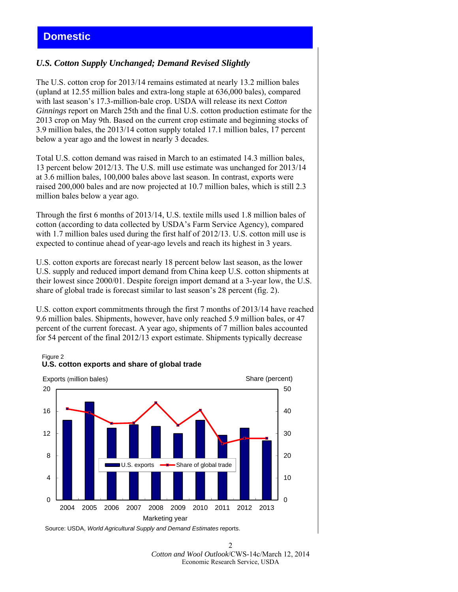## **Domestic**

### *U.S. Cotton Supply Unchanged; Demand Revised Slightly*

The U.S. cotton crop for 2013/14 remains estimated at nearly 13.2 million bales (upland at 12.55 million bales and extra-long staple at 636,000 bales), compared with last season's 17.3-million-bale crop. USDA will release its next *Cotton Ginnings* report on March 25th and the final U.S. cotton production estimate for the 2013 crop on May 9th. Based on the current crop estimate and beginning stocks of 3.9 million bales, the 2013/14 cotton supply totaled 17.1 million bales, 17 percent below a year ago and the lowest in nearly 3 decades.

Total U.S. cotton demand was raised in March to an estimated 14.3 million bales, 13 percent below 2012/13. The U.S. mill use estimate was unchanged for 2013/14 at 3.6 million bales, 100,000 bales above last season. In contrast, exports were raised 200,000 bales and are now projected at 10.7 million bales, which is still 2.3 million bales below a year ago.

Through the first 6 months of 2013/14, U.S. textile mills used 1.8 million bales of cotton (according to data collected by USDA's Farm Service Agency), compared with 1.7 million bales used during the first half of 2012/13. U.S. cotton mill use is expected to continue ahead of year-ago levels and reach its highest in 3 years.

U.S. cotton exports are forecast nearly 18 percent below last season, as the lower U.S. supply and reduced import demand from China keep U.S. cotton shipments at their lowest since 2000/01. Despite foreign import demand at a 3-year low, the U.S. share of global trade is forecast similar to last season's 28 percent (fig. 2).

U.S. cotton export commitments through the first 7 months of 2013/14 have reached 9.6 million bales. Shipments, however, have only reached 5.9 million bales, or 47 percent of the current forecast. A year ago, shipments of 7 million bales accounted for 54 percent of the final 2012/13 export estimate. Shipments typically decrease

#### Figure 2 **U.S. cotton exports and share of global trade**



Source: USDA, *World Agricultural Supply and Demand Estimates* reports.

 $\mathcal{D}$ *Cotton and Wool Outlook*/CWS-14c/March 12, 2014 Economic Research Service, USDA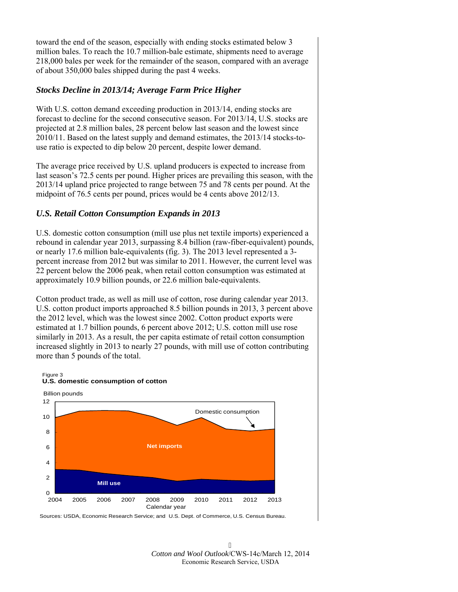toward the end of the season, especially with ending stocks estimated below 3 million bales. To reach the 10.7 million-bale estimate, shipments need to average 218,000 bales per week for the remainder of the season, compared with an average of about 350,000 bales shipped during the past 4 weeks.

## *Stocks Decline in 2013/14; Average Farm Price Higher*

With U.S. cotton demand exceeding production in 2013/14, ending stocks are forecast to decline for the second consecutive season. For 2013/14, U.S. stocks are projected at 2.8 million bales, 28 percent below last season and the lowest since 2010/11. Based on the latest supply and demand estimates, the 2013/14 stocks-touse ratio is expected to dip below 20 percent, despite lower demand.

The average price received by U.S. upland producers is expected to increase from last season's 72.5 cents per pound. Higher prices are prevailing this season, with the 2013/14 upland price projected to range between 75 and 78 cents per pound. At the midpoint of 76.5 cents per pound, prices would be 4 cents above 2012/13.

## *U.S. Retail Cotton Consumption Expands in 2013*

U.S. domestic cotton consumption (mill use plus net textile imports) experienced a rebound in calendar year 2013, surpassing 8.4 billion (raw-fiber-equivalent) pounds, or nearly 17.6 million bale-equivalents (fig. 3). The 2013 level represented a 3 percent increase from 2012 but was similar to 2011. However, the current level was 22 percent below the 2006 peak, when retail cotton consumption was estimated at approximately 10.9 billion pounds, or 22.6 million bale-equivalents.

Cotton product trade, as well as mill use of cotton, rose during calendar year 2013. U.S. cotton product imports approached 8.5 billion pounds in 2013, 3 percent above the 2012 level, which was the lowest since 2002. Cotton product exports were estimated at 1.7 billion pounds, 6 percent above 2012; U.S. cotton mill use rose similarly in 2013. As a result, the per capita estimate of retail cotton consumption increased slightly in 2013 to nearly 27 pounds, with mill use of cotton contributing more than 5 pounds of the total.



Sources: USDA, Economic Research Service; and U.S. Dept. of Commerce, U.S. Census Bureau.

 $\overline{5}$ *Cotton and Wool Outlook*/CWS-14c/March 12, 2014 Economic Research Service, USDA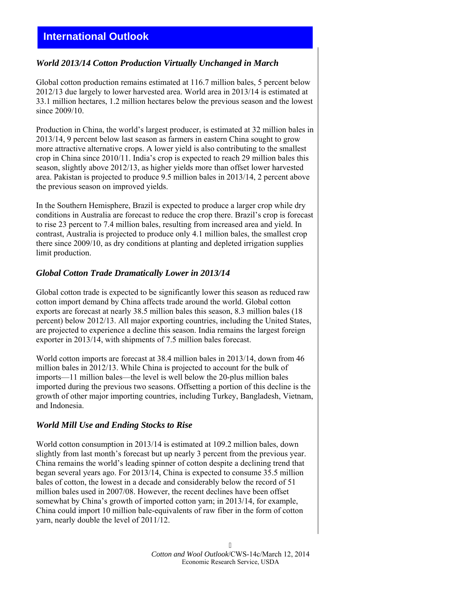# **International Outlook**

#### *World 2013/14 Cotton Production Virtually Unchanged in March*

Global cotton production remains estimated at 116.7 million bales, 5 percent below 2012/13 due largely to lower harvested area. World area in 2013/14 is estimated at 33.1 million hectares, 1.2 million hectares below the previous season and the lowest since 2009/10.

Production in China, the world's largest producer, is estimated at 32 million bales in 2013/14, 9 percent below last season as farmers in eastern China sought to grow more attractive alternative crops. A lower yield is also contributing to the smallest crop in China since 2010/11. India's crop is expected to reach 29 million bales this season, slightly above 2012/13, as higher yields more than offset lower harvested area. Pakistan is projected to produce 9.5 million bales in 2013/14, 2 percent above the previous season on improved yields.

In the Southern Hemisphere, Brazil is expected to produce a larger crop while dry conditions in Australia are forecast to reduce the crop there. Brazil's crop is forecast to rise 23 percent to 7.4 million bales, resulting from increased area and yield. In contrast, Australia is projected to produce only 4.1 million bales, the smallest crop there since 2009/10, as dry conditions at planting and depleted irrigation supplies limit production.

#### *Global Cotton Trade Dramatically Lower in 2013/14*

Global cotton trade is expected to be significantly lower this season as reduced raw cotton import demand by China affects trade around the world. Global cotton exports are forecast at nearly 38.5 million bales this season, 8.3 million bales (18 percent) below 2012/13. All major exporting countries, including the United States, are projected to experience a decline this season. India remains the largest foreign exporter in 2013/14, with shipments of 7.5 million bales forecast.

World cotton imports are forecast at 38.4 million bales in 2013/14, down from 46 million bales in 2012/13. While China is projected to account for the bulk of imports—11 million bales—the level is well below the 20-plus million bales imported during the previous two seasons. Offsetting a portion of this decline is the growth of other major importing countries, including Turkey, Bangladesh, Vietnam, and Indonesia.

#### *World Mill Use and Ending Stocks to Rise*

World cotton consumption in 2013/14 is estimated at 109.2 million bales, down slightly from last month's forecast but up nearly 3 percent from the previous year. China remains the world's leading spinner of cotton despite a declining trend that began several years ago. For 2013/14, China is expected to consume 35.5 million bales of cotton, the lowest in a decade and considerably below the record of 51 million bales used in 2007/08. However, the recent declines have been offset somewhat by China's growth of imported cotton yarn; in 2013/14, for example, China could import 10 million bale-equivalents of raw fiber in the form of cotton yarn, nearly double the level of 2011/12.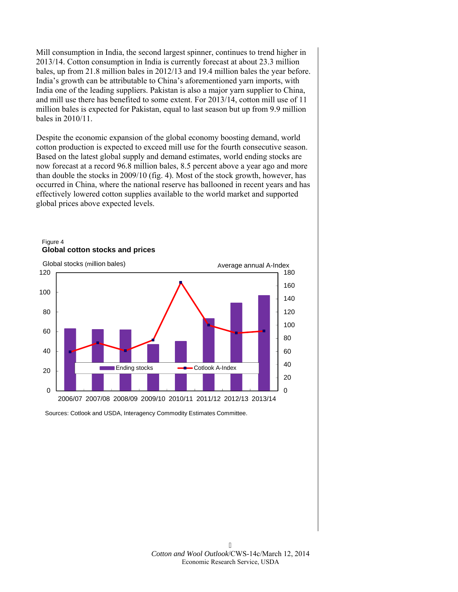Mill consumption in India, the second largest spinner, continues to trend higher in 2013/14. Cotton consumption in India is currently forecast at about 23.3 million bales, up from 21.8 million bales in 2012/13 and 19.4 million bales the year before. India's growth can be attributable to China's aforementioned yarn imports, with India one of the leading suppliers. Pakistan is also a major yarn supplier to China, and mill use there has benefited to some extent. For 2013/14, cotton mill use of 11 million bales is expected for Pakistan, equal to last season but up from 9.9 million bales in 2010/11.

Despite the economic expansion of the global economy boosting demand, world cotton production is expected to exceed mill use for the fourth consecutive season. Based on the latest global supply and demand estimates, world ending stocks are now forecast at a record 96.8 million bales, 8.5 percent above a year ago and more than double the stocks in 2009/10 (fig. 4). Most of the stock growth, however, has occurred in China, where the national reserve has ballooned in recent years and has effectively lowered cotton supplies available to the world market and supported global prices above expected levels.



Figure 4 **Global cotton stocks and prices**

Sources: Cotlook and USDA, Interagency Commodity Estimates Committee.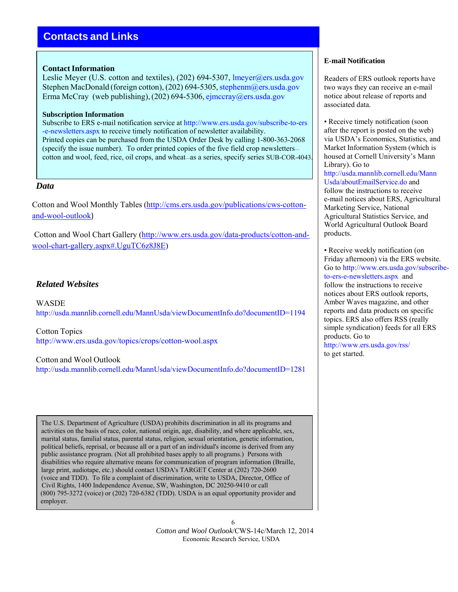# **Contacts and Links**

#### **Contact Information**

Leslie Meyer (U.S. cotton and textiles), (202) 694-5307, lmeyer@ers.usda.gov Stephen MacDonald (foreign cotton), (202) 694-5305, stephenm@ers.usda.gov Erma McCray (web publishing),  $(202)$  694-5306, [ejmccray@ers.usda.gov](mailto:ejmccray@ers.usda.gov)

#### **Subscription Information**

Subscribe to ERS e-mail notification service at [http://www.ers.usda.gov/subscribe-to-ers](http://www.ers.usda.gov/subscribe-to-ers-e-newsletters.aspx) [-e-newsletters.aspx t](http://www.ers.usda.gov/subscribe-to-ers-e-newsletters.aspx)o receive timely notification of newsletter availability. Printed copies can be purchased from the USDA Order Desk by calling 1-800-363-2068 (specify the issue number). To order printed copies of the five field crop newsletters cotton and wool, feed, rice, oil crops, and wheat—as a series, specify series SUB-COR-4043.

#### *Data*

Cotton and Wool Monthly Tables [\(http://cms.ers.usda.gov/publications/cws-cotton](http://cms.ers.usda.gov/publications/cws-cotton-and-wool-outlook)[and-wool-outlook](http://cms.ers.usda.gov/publications/cws-cotton-and-wool-outlook))

Cotton and Wool Chart Gallery ([http://www.ers.usda.gov/data-products/cotton-and](http://www.ers.usda.gov/data-products/cotton-and-wool-chart-gallery.aspx#.UguTC6z8J8E)[wool-chart-gallery.aspx#.UguTC6z8J8E\)](http://www.ers.usda.gov/data-products/cotton-and-wool-chart-gallery.aspx#.UguTC6z8J8E)

## *Related Websites*

WASDE <http://usda.mannlib.cornell.edu/MannUsda/viewDocumentInfo.do?documentID=1194>

Cotton Topics <http://www.ers.usda.gov/topics/crops/cotton-wool.aspx>

#### Cotton and Wool Outlook

<http://usda.mannlib.cornell.edu/MannUsda/viewDocumentInfo.do?documentID=1281>

The U.S. Department of Agriculture (USDA) prohibits discrimination in all its programs and activities on the basis of race, color, national origin, age, disability, and where applicable, sex, marital status, familial status, parental status, religion, sexual orientation, genetic information, political beliefs, reprisal, or because all or a part of an individual's income is derived from any public assistance program. (Not all prohibited bases apply to all programs.) Persons with disabilities who require alternative means for communication of program information (Braille, large print, audiotape, etc.) should contact USDA's TARGET Center at (202) 720-2600 (voice and TDD). To file a complaint of discrimination, write to USDA, Director, Office of Civil Rights, 1400 Independence Avenue, SW, Washington, DC 20250-9410 or call (800) 795-3272 (voice) or (202) 720-6382 (TDD). USDA is an equal opportunity provider and employer.

> 6 *Cotton and Wool Outlook*/CWS-14c/March 12, 2014 Economic Research Service, USDA

#### **E-mail Notification**

Readers of ERS outlook reports have two ways they can receive an e-mail notice about release of reports and associated data.

• Receive timely notification (soon) after the report is posted on the web) via USDA's Economics, Statistics, and Market Information System (which is housed at Cornell University's Mann Library). Go to [http://usda.mannlib.cornell.edu/Mann](http://usda.mannlib.cornell.edu/MannUsda/aboutEmailService.do) [Usda/aboutEmailService.do](http://usda.mannlib.cornell.edu/MannUsda/aboutEmailService.do) and follow the instructions to receive e-mail notices about ERS, Agricultural Marketing Service, National Agricultural Statistics Service, and World Agricultural Outlook Board products.

• Receive weekly notification (on Friday afternoon) via the ERS website. Go to [http://www.ers.usda.gov/subscribe](http://visitor.r20.constantcontact.com/manage/optin/ea?v=001CPZXBN9FC9pEGnjxEcGeWg%3D%3D)[to-ers-e-newsletters.aspx](http://visitor.r20.constantcontact.com/manage/optin/ea?v=001CPZXBN9FC9pEGnjxEcGeWg%3D%3D) and follow the instructions to receive notices about ERS outlook reports, Amber Waves magazine, and other reports and data products on specific topics. ERS also offers RSS (really simple syndication) feeds for all ERS products. Go to http://www.ers.usda.gov/rss/

to get started.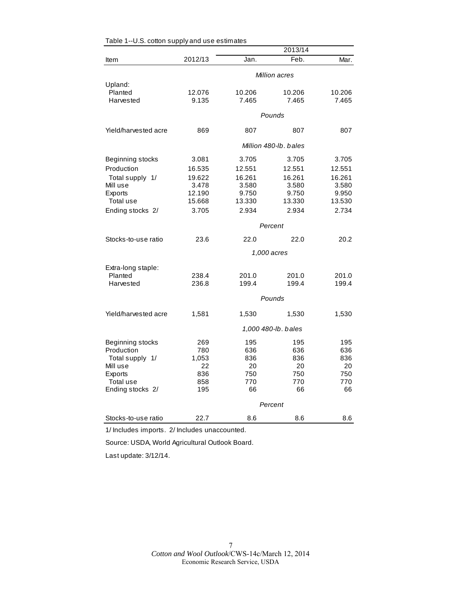|                      |                       |        | 2013/14             |        |  |
|----------------------|-----------------------|--------|---------------------|--------|--|
| Item                 | 2012/13               | Jan.   | Feb.                | Mar.   |  |
|                      | Million acres         |        |                     |        |  |
| Upland:              |                       |        |                     |        |  |
| Planted              | 12.076                | 10.206 | 10.206              | 10.206 |  |
| Harvested            | 9.135                 | 7.465  | 7.465               | 7.465  |  |
|                      |                       |        | Pounds              |        |  |
| Yield/harvested acre | 869                   | 807    | 807                 | 807    |  |
|                      | Million 480-lb, bales |        |                     |        |  |
| Beginning stocks     | 3.081                 | 3.705  | 3.705               | 3.705  |  |
| Production           | 16.535                | 12.551 | 12.551              | 12.551 |  |
| Total supply 1/      | 19.622                | 16.261 | 16.261              | 16.261 |  |
| Mill use             | 3.478                 | 3.580  | 3.580               | 3.580  |  |
| Exports              | 12.190                | 9.750  | 9.750               | 9.950  |  |
| Total use            | 15.668                | 13.330 | 13.330              | 13.530 |  |
| Ending stocks 2/     | 3.705                 | 2.934  | 2.934               | 2.734  |  |
|                      | Percent               |        |                     |        |  |
| Stocks-to-use ratio  | 23.6                  | 22.0   | 22.0                | 20.2   |  |
|                      |                       |        | 1,000 acres         |        |  |
| Extra-long staple:   |                       |        |                     |        |  |
| Planted              | 238.4                 | 201.0  | 201.0               | 201.0  |  |
| Harvested            | 236.8                 | 199.4  | 199.4               | 199.4  |  |
|                      |                       |        | Pounds              |        |  |
| Yield/harvested acre | 1,581                 | 1,530  | 1,530               | 1,530  |  |
|                      |                       |        | 1,000 480-lb. bales |        |  |
| Beginning stocks     | 269                   | 195    | 195                 | 195    |  |
| Production           | 780                   | 636    | 636                 | 636    |  |
| Total supply 1/      | 1,053                 | 836    | 836                 | 836    |  |
| Mill use             | 22                    | 20     | 20                  | 20     |  |
| Exports              | 836                   | 750    | 750                 | 750    |  |
| Total use            | 858                   | 770    | 770                 | 770    |  |
| Ending stocks 2/     | 195                   | 66     | 66                  | 66     |  |
|                      |                       |        | Percent             |        |  |
| Stocks-to-use ratio  | 22.7                  | 8.6    | 8.6                 | 8.6    |  |

Table 1--U.S. cotton supply and use estimates

1/ Includes imports. 2/ Includes unaccounted.

Source: USDA, World Agricultural Outlook Board.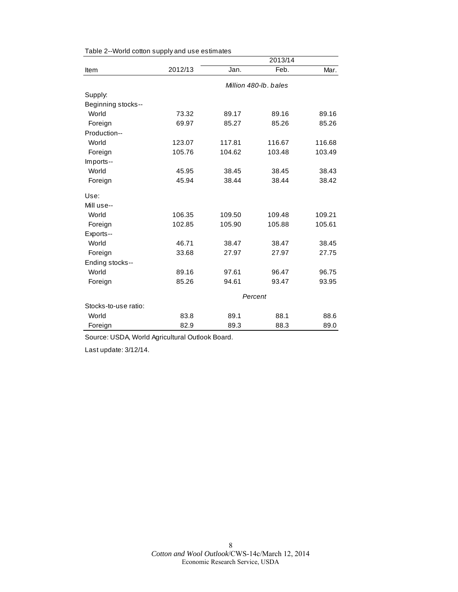|                      |         |        | 2013/14               |        |
|----------------------|---------|--------|-----------------------|--------|
| Item                 | 2012/13 | Jan.   | Feb.                  | Mar.   |
|                      |         |        | Million 480-lb, bales |        |
| Supply:              |         |        |                       |        |
| Beginning stocks--   |         |        |                       |        |
| World                | 73.32   | 89.17  | 89.16                 | 89.16  |
| Foreign              | 69.97   | 85.27  | 85.26                 | 85.26  |
| Production--         |         |        |                       |        |
| World                | 123.07  | 117.81 | 116.67                | 116.68 |
| Foreign              | 105.76  | 104.62 | 103.48                | 103.49 |
| Imports--            |         |        |                       |        |
| World                | 45.95   | 38.45  | 38.45                 | 38.43  |
| Foreign              | 45.94   | 38.44  | 38.44                 | 38.42  |
| Use:                 |         |        |                       |        |
| Mill use--           |         |        |                       |        |
| World                | 106.35  | 109.50 | 109.48                | 109.21 |
| Foreign              | 102.85  | 105.90 | 105.88                | 105.61 |
| Exports--            |         |        |                       |        |
| World                | 46.71   | 38.47  | 38.47                 | 38.45  |
| Foreign              | 33.68   | 27.97  | 27.97                 | 27.75  |
| Ending stocks--      |         |        |                       |        |
| World                | 89.16   | 97.61  | 96.47                 | 96.75  |
| Foreign              | 85.26   | 94.61  | 93.47                 | 93.95  |
|                      | Percent |        |                       |        |
| Stocks-to-use ratio: |         |        |                       |        |
| World                | 83.8    | 89.1   | 88.1                  | 88.6   |
| Foreign              | 82.9    | 89.3   | 88.3                  | 89.0   |

Source: USDA, World Agricultural Outlook Board.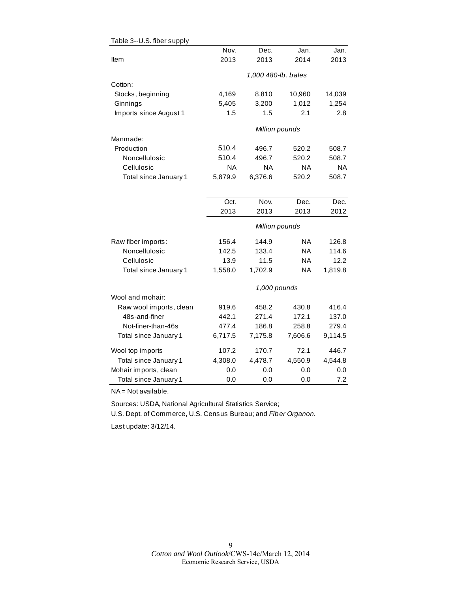| o.u.u.uu ouppiy         |           |                     |           |           |
|-------------------------|-----------|---------------------|-----------|-----------|
|                         | Nov.      | Dec.                | Jan.      | Jan.      |
| Item                    | 2013      | 2013                | 2014      | 2013      |
|                         |           | 1,000 480-lb. bales |           |           |
| Cotton:                 |           |                     |           |           |
| Stocks, beginning       | 4,169     | 8,810               | 10,960    | 14,039    |
| Ginnings                | 5,405     | 3,200               | 1,012     | 1,254     |
| Imports since August 1  | 1.5       | 1.5                 | 2.1       | 2.8       |
|                         |           | Million pounds      |           |           |
| Manmade:                |           |                     |           |           |
| Production              | 510.4     | 496.7               | 520.2     | 508.7     |
| Noncellulosic           | 510.4     | 496.7               | 520.2     | 508.7     |
| Cellulosic              | <b>NA</b> | <b>NA</b>           | <b>NA</b> | <b>NA</b> |
| Total since January 1   | 5,879.9   | 6,376.6             | 520.2     | 508.7     |
|                         |           |                     |           |           |
|                         | Oct.      | Nov.                | Dec.      | Dec.      |
|                         | 2013      | 2013                | 2013      | 2012      |
|                         |           | Million pounds      |           |           |
| Raw fiber imports:      | 156.4     | 144.9               | NA.       | 126.8     |
| Noncellulosic           | 142.5     | 133.4               | <b>NA</b> | 114.6     |
| Cellulosic              | 13.9      | 11.5                | <b>NA</b> | 12.2      |
| Total since January 1   | 1,558.0   | 1,702.9             | <b>NA</b> | 1,819.8   |
|                         |           | 1,000 pounds        |           |           |
| Wool and mohair:        |           |                     |           |           |
| Raw wool imports, clean | 919.6     | 458.2               | 430.8     | 416.4     |
| 48s-and-finer           | 442.1     | 271.4               | 172.1     | 137.0     |
| Not-finer-than-46s      | 477.4     | 186.8               | 258.8     | 279.4     |
| Total since January 1   | 6,717.5   | 7,175.8             | 7,606.6   | 9,114.5   |
| Wool top imports        | 107.2     | 170.7               | 72.1      | 446.7     |
| Total since January 1   | 4,308.0   | 4,478.7             | 4,550.9   | 4,544.8   |
| Mohair imports, clean   | 0.0       | 0.0                 | 0.0       | 0.0       |
| Total since January 1   | 0.0       | 0.0                 | 0.0       | 7.2       |

| Table 3--U.S. fiber supply |
|----------------------------|
|----------------------------|

NA = Not available.

Sources: USDA, National Agricultural Statistics Service;

U.S. Dept. of Commerce, U.S. Census Bureau; and *Fiber Organon.*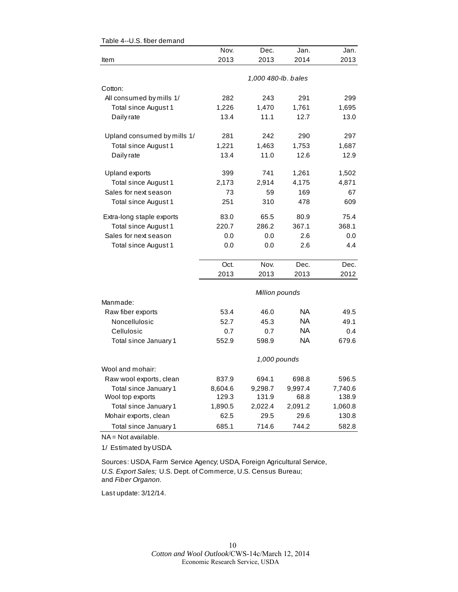|                             | Nov.         | Dec.                | Jan.    | Jan.    |  |  |
|-----------------------------|--------------|---------------------|---------|---------|--|--|
| Item                        | 2013         | 2013                | 2014    | 2013    |  |  |
|                             |              |                     |         |         |  |  |
|                             |              | 1,000 480-lb. bales |         |         |  |  |
| Cotton:                     |              |                     |         |         |  |  |
| All consumed by mills 1/    | 282          | 243                 | 291     | 299     |  |  |
| Total since August 1        | 1,226        | 1,470               | 1,761   | 1,695   |  |  |
| Daily rate                  | 13.4         | 11.1                | 12.7    | 13.0    |  |  |
| Upland consumed by mills 1/ | 281          | 242                 | 290     | 297     |  |  |
| Total since August 1        | 1,221        | 1,463               | 1,753   | 1,687   |  |  |
| Daily rate                  | 13.4         | 11.0                | 12.6    | 12.9    |  |  |
| Upland exports              | 399          | 741                 | 1,261   | 1,502   |  |  |
| Total since August 1        | 2,173        | 2,914               | 4,175   | 4,871   |  |  |
| Sales for next season       | 73           | 59                  | 169     | 67      |  |  |
| Total since August 1        | 251          | 310                 | 478     | 609     |  |  |
| Extra-long staple exports   | 83.0         | 65.5                | 80.9    | 75.4    |  |  |
| Total since August 1        | 220.7        | 286.2               | 367.1   | 368.1   |  |  |
| Sales for next season       | 0.0          | 0.0                 | 2.6     | 0.0     |  |  |
| Total since August 1        | 0.0          | 0.0                 | 2.6     | 4.4     |  |  |
|                             | Oct.         | Nov.                | Dec.    | Dec.    |  |  |
|                             | 2013         | 2013                | 2013    | 2012    |  |  |
|                             |              | Million pounds      |         |         |  |  |
| Manmade:                    |              |                     |         |         |  |  |
| Raw fiber exports           | 53.4         | 46.0                | NA.     | 49.5    |  |  |
| Noncellulosic               | 52.7         | 45.3                | NA      | 49.1    |  |  |
| Cellulosic                  | 0.7          | 0.7                 | NA      | 0.4     |  |  |
| Total since January 1       | 552.9        | 598.9               | NA      | 679.6   |  |  |
|                             | 1,000 pounds |                     |         |         |  |  |
| Wool and mohair:            |              |                     |         |         |  |  |
| Raw wool exports, clean     | 837.9        | 694.1               | 698.8   | 596.5   |  |  |
| Total since January 1       | 8,604.6      | 9,298.7             | 9,997.4 | 7,740.6 |  |  |
| Wool top exports            | 129.3        | 131.9               | 68.8    | 138.9   |  |  |
| Total since January 1       | 1,890.5      | 2,022.4             | 2,091.2 | 1,060.8 |  |  |
| Mohair exports, clean       | 62.5         | 29.5                | 29.6    | 130.8   |  |  |
| Total since January 1       | 685.1        | 714.6               | 744.2   | 582.8   |  |  |

Table 4--U.S. fiber demand

NA = Not available.

1/ Estimated by USDA.

Sources: USDA, Farm Service Agency; USDA, Foreign Agricultural Service, *U.S. Export Sales;* U.S. Dept. of Commerce, U.S. Census Bureau; and *Fiber Organon.*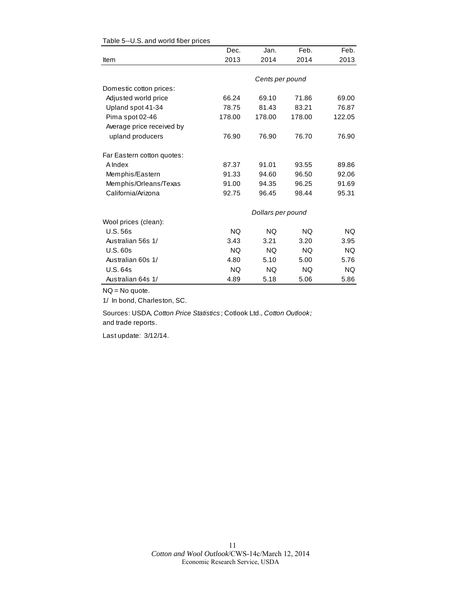|                            | Dec.      | Jan.              | Feb.   | Feb.      |
|----------------------------|-----------|-------------------|--------|-----------|
| Item                       | 2013      | 2014              | 2014   | 2013      |
|                            |           |                   |        |           |
|                            |           | Cents per pound   |        |           |
| Domestic cotton prices:    |           |                   |        |           |
| Adjusted world price       | 66.24     | 69.10             | 71.86  | 69.00     |
| Upland spot 41-34          | 78.75     | 81.43             | 83.21  | 76.87     |
| Pima spot 02-46            | 178.00    | 178.00            | 178.00 | 122.05    |
| Average price received by  |           |                   |        |           |
| upland producers           | 76.90     | 76.90             | 76.70  | 76.90     |
| Far Eastern cotton quotes: |           |                   |        |           |
| A Index                    | 87.37     | 91.01             | 93.55  | 89.86     |
| Memphis/Eastern            | 91.33     | 94.60             | 96.50  | 92.06     |
| Memphis/Orleans/Texas      | 91.00     | 94.35             | 96.25  | 91.69     |
| California/Arizona         | 92.75     | 96.45             | 98.44  | 95.31     |
|                            |           | Dollars per pound |        |           |
| Wool prices (clean):       |           |                   |        |           |
| <b>U.S. 56s</b>            | <b>NQ</b> | <b>NQ</b>         | NQ.    | <b>NQ</b> |
| Australian 56s 1/          | 3.43      | 3.21              | 3.20   | 3.95      |
| U.S.60s                    | <b>NQ</b> | NQ.               | NQ.    | <b>NQ</b> |
| Australian 60s 1/          | 4.80      | 5.10              | 5.00   | 5.76      |
| U.S. 64s                   | NQ.       | NQ.               | NQ.    | NQ.       |
| Australian 64s 1/          | 4.89      | 5.18              | 5.06   | 5.86      |

#### Table 5--U.S. and world fiber prices

NQ = No quote.

1/ In bond, Charleston, SC.

Sources: USDA, *Cotton Price Statistics* ; Cotlook Ltd., *Cotton Outlook;*  and trade reports.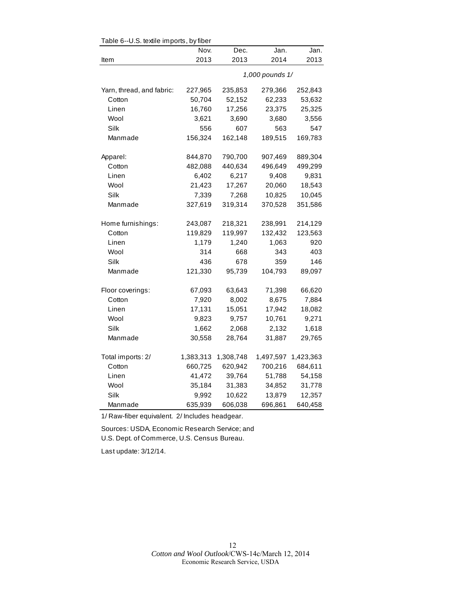| Table 6--U.S. textile imports, by fiber |                 |           |           |           |  |
|-----------------------------------------|-----------------|-----------|-----------|-----------|--|
|                                         | Nov.            | Dec.      | Jan.      | Jan.      |  |
| Item                                    | 2013            | 2013      | 2014      | 2013      |  |
|                                         | 1,000 pounds 1/ |           |           |           |  |
| Yarn, thread, and fabric:               | 227,965         | 235,853   | 279,366   | 252,843   |  |
| Cotton                                  | 50,704          | 52,152    | 62,233    | 53,632    |  |
| Linen                                   | 16,760          | 17,256    | 23,375    | 25,325    |  |
| Wool                                    | 3,621           | 3,690     | 3,680     | 3,556     |  |
| Silk                                    | 556             | 607       | 563       | 547       |  |
| Manmade                                 | 156,324         | 162,148   | 189,515   | 169,783   |  |
| Apparel:                                | 844,870         | 790,700   | 907,469   | 889,304   |  |
| Cotton                                  | 482,088         | 440,634   | 496,649   | 499,299   |  |
| Linen                                   | 6,402           | 6,217     | 9,408     | 9,831     |  |
| Wool                                    | 21,423          | 17,267    | 20,060    | 18,543    |  |
| Silk                                    | 7,339           | 7,268     | 10,825    | 10,045    |  |
| Manmade                                 | 327,619         | 319,314   | 370,528   | 351,586   |  |
| Home furnishings:                       | 243,087         | 218,321   | 238,991   | 214,129   |  |
| Cotton                                  | 119,829         | 119,997   | 132,432   | 123,563   |  |
| Linen                                   | 1,179           | 1,240     | 1,063     | 920       |  |
| Wool                                    | 314             | 668       | 343       | 403       |  |
| Silk                                    | 436             | 678       | 359       | 146       |  |
| Manmade                                 | 121,330         | 95,739    | 104,793   | 89,097    |  |
| Floor coverings:                        | 67,093          | 63,643    | 71,398    | 66,620    |  |
| Cotton                                  | 7,920           | 8,002     | 8,675     | 7,884     |  |
| Linen                                   | 17,131          | 15,051    | 17,942    | 18,082    |  |
| Wool                                    | 9,823           | 9,757     | 10,761    | 9,271     |  |
| Silk                                    | 1,662           | 2,068     | 2,132     | 1,618     |  |
| Manmade                                 | 30,558          | 28,764    | 31,887    | 29,765    |  |
| Total imports: 2/                       | 1,383,313       | 1,308,748 | 1,497,597 | 1,423,363 |  |
| Cotton                                  | 660,725         | 620,942   | 700,216   | 684,611   |  |
| Linen                                   | 41,472          | 39,764    | 51,788    | 54,158    |  |
| Wool                                    | 35,184          | 31,383    | 34,852    | 31,778    |  |
| Silk                                    | 9,992           | 10,622    | 13,879    | 12,357    |  |
| Manmade                                 | 635,939         | 606,038   | 696,861   | 640,458   |  |

 $\mathsf{TableR}$  U.S. to the imports, by fib

1/ Raw-fiber equivalent. 2/ Includes headgear.

Sources: USDA, Economic Research Service; and U.S. Dept. of Commerce, U.S. Census Bureau.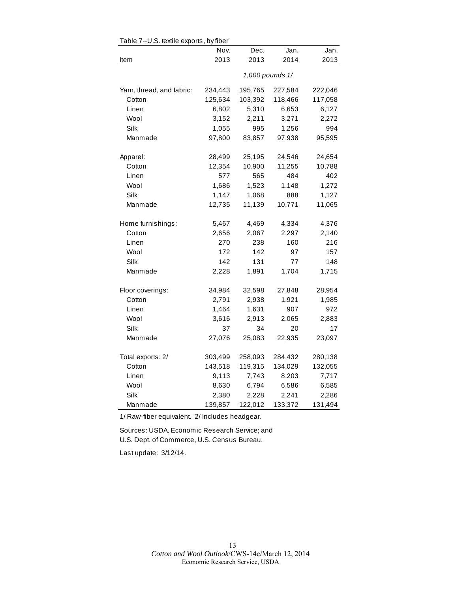|                           | Nov.    | Dec.    | Jan.            | Jan.    |
|---------------------------|---------|---------|-----------------|---------|
| Item                      | 2013    | 2013    | 2014            | 2013    |
|                           |         |         | 1,000 pounds 1/ |         |
| Yarn, thread, and fabric: | 234,443 | 195,765 | 227,584         | 222,046 |
| Cotton                    | 125,634 | 103,392 | 118,466         | 117,058 |
| Linen                     | 6,802   | 5,310   | 6,653           | 6,127   |
| Wool                      | 3,152   | 2,211   | 3,271           | 2,272   |
| Silk                      | 1,055   | 995     | 1,256           | 994     |
| Manmade                   | 97,800  | 83,857  | 97,938          | 95,595  |
| Apparel:                  | 28,499  | 25,195  | 24,546          | 24,654  |
| Cotton                    | 12,354  | 10,900  | 11,255          | 10,788  |
| Linen                     | 577     | 565     | 484             | 402     |
| Wool                      | 1,686   | 1,523   | 1,148           | 1,272   |
| Silk                      | 1,147   | 1,068   | 888             | 1,127   |
| Manmade                   | 12,735  | 11,139  | 10,771          | 11,065  |
| Home furnishings:         | 5,467   | 4,469   | 4,334           | 4,376   |
| Cotton                    | 2,656   | 2,067   | 2,297           | 2,140   |
| Linen                     | 270     | 238     | 160             | 216     |
| Wool                      | 172     | 142     | 97              | 157     |
| Silk                      | 142     | 131     | 77              | 148     |
| Manmade                   | 2,228   | 1,891   | 1,704           | 1,715   |
| Floor coverings:          | 34,984  | 32,598  | 27,848          | 28,954  |
| Cotton                    | 2,791   | 2,938   | 1,921           | 1,985   |
| Linen                     | 1,464   | 1,631   | 907             | 972     |
| Wool                      | 3,616   | 2,913   | 2,065           | 2,883   |
| Silk                      | 37      | 34      | 20              | 17      |
| Manmade                   | 27,076  | 25,083  | 22,935          | 23,097  |
| Total exports: 2/         | 303,499 | 258,093 | 284,432         | 280,138 |
| Cotton                    | 143,518 | 119,315 | 134,029         | 132,055 |
| Linen                     | 9,113   | 7,743   | 8,203           | 7,717   |
| Wool                      | 8,630   | 6,794   | 6,586           | 6,585   |
| Silk                      | 2,380   | 2,228   | 2,241           | 2,286   |
| Manmade                   | 139,857 | 122,012 | 133,372         | 131,494 |

Table 7--U.S. textile exports, by fiber

1/ Raw-fiber equivalent. 2/ Includes headgear.

Sources: USDA, Economic Research Service; and U.S. Dept. of Commerce, U.S. Census Bureau.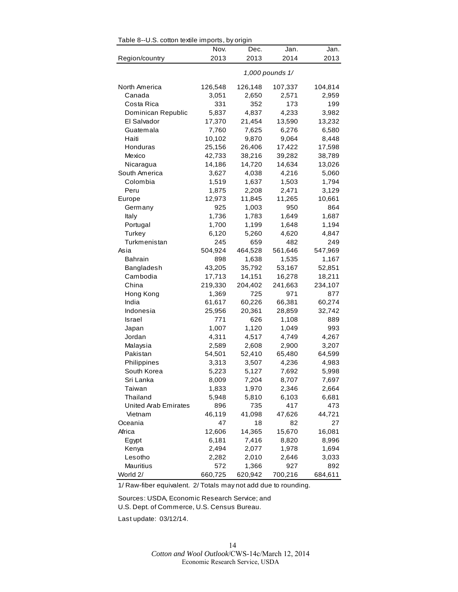| Table 8--0.5. cotton textile imports, by origin |         |         |                 |         |
|-------------------------------------------------|---------|---------|-----------------|---------|
|                                                 | Nov.    | Dec.    | Jan.            | Jan.    |
| Region/country                                  | 2013    | 2013    | 2014            | 2013    |
|                                                 |         |         | 1,000 pounds 1/ |         |
| North America                                   | 126,548 | 126,148 | 107,337         | 104,814 |
| Canada                                          | 3,051   | 2,650   | 2,571           | 2,959   |
| Costa Rica                                      | 331     | 352     | 173             | 199     |
| Dominican Republic                              | 5,837   | 4,837   | 4,233           | 3,982   |
| El Salvador                                     | 17,370  | 21,454  | 13,590          | 13,232  |
| Guatemala                                       | 7,760   | 7,625   | 6,276           | 6,580   |
| Haiti                                           | 10,102  | 9,870   | 9,064           | 8,448   |
| Honduras                                        | 25,156  | 26,406  | 17,422          | 17,598  |
| Mexico                                          | 42,733  | 38,216  | 39,282          | 38,789  |
| Nicaragua                                       | 14,186  | 14,720  | 14,634          | 13,026  |
| South America                                   | 3,627   | 4,038   | 4,216           | 5,060   |
| Colombia                                        | 1,519   | 1,637   | 1,503           | 1,794   |
| Peru                                            | 1,875   | 2,208   | 2,471           | 3,129   |
| Europe                                          | 12,973  | 11,845  | 11,265          | 10,661  |
| Germany                                         | 925     | 1,003   | 950             | 864     |
| Italy                                           | 1,736   | 1,783   | 1,649           | 1,687   |
| Portugal                                        | 1,700   | 1,199   | 1,648           | 1,194   |
| Turkey                                          | 6,120   | 5,260   | 4,620           | 4,847   |
| Turkmenistan                                    | 245     | 659     | 482             | 249     |
| Asia                                            | 504,924 | 464,528 | 561,646         | 547,969 |
| <b>Bahrain</b>                                  | 898     | 1,638   | 1,535           | 1,167   |
| Bangladesh                                      | 43,205  | 35,792  | 53,167          | 52,851  |
| Cambodia                                        | 17,713  | 14,151  | 16,278          | 18,211  |
| China                                           | 219,330 | 204,402 | 241,663         | 234,107 |
| Hong Kong                                       | 1,369   | 725     | 971             | 877     |
| India                                           | 61,617  | 60,226  | 66,381          | 60,274  |
| Indonesia                                       | 25,956  | 20,361  | 28,859          | 32,742  |
| Israel                                          | 771     | 626     | 1,108           | 889     |
| Japan                                           | 1,007   | 1,120   | 1,049           | 993     |
| Jordan                                          | 4,311   | 4,517   | 4,749           | 4,267   |
| Malaysia                                        | 2,589   | 2,608   | 2,900           | 3,207   |
| Pakistan                                        | 54,501  | 52,410  | 65,480          | 64,599  |
| Philippines                                     | 3,313   | 3,507   | 4,236           | 4,983   |
| South Korea                                     | 5,223   | 5,127   | 7,692           | 5,998   |
| Sri Lanka                                       | 8,009   | 7,204   | 8,707           | 7,697   |
| Taiwan                                          | 1,833   | 1,970   | 2,346           | 2,664   |
| Thailand                                        | 5,948   | 5,810   | 6,103           | 6,681   |
| <b>United Arab Emirates</b>                     | 896     | 735     | 417             | 473     |
| Vietnam                                         | 46,119  | 41,098  | 47,626          | 44,721  |
| Oceania                                         | 47      | 18      | 82              | 27      |
| Africa                                          | 12,606  | 14,365  | 15,670          | 16,081  |
| Egypt                                           | 6,181   | 7,416   | 8,820           | 8,996   |
| Kenya                                           | 2,494   | 2,077   | 1,978           | 1,694   |
| Lesotho                                         | 2,282   | 2,010   | 2,646           | 3,033   |
| <b>Mauritius</b>                                | 572     | 1,366   | 927             | 892     |
| World 2/                                        | 660,725 | 620,942 | 700,216         | 684,611 |

Table 8--U.S. cotton textile imports, by origin

Sources: USDA, Economic Research Service; and U.S. Dept. of Commerce, U.S. Census Bureau.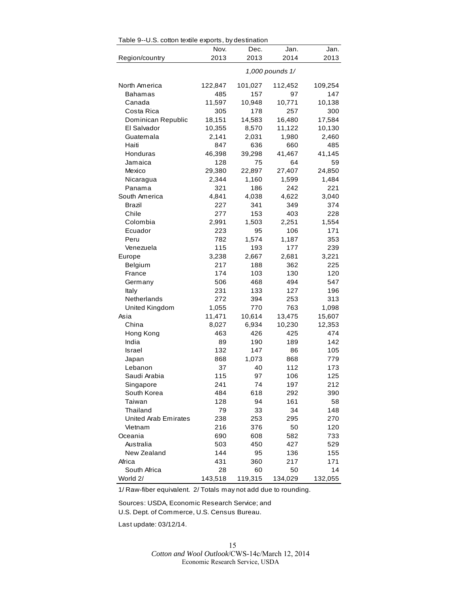| Table 9--0.S. cotton textile exports, by destination |         |         |                 |         |
|------------------------------------------------------|---------|---------|-----------------|---------|
|                                                      | Nov.    | Dec.    | Jan.            | Jan.    |
| Region/country                                       | 2013    | 2013    | 2014            | 2013    |
|                                                      |         |         | 1,000 pounds 1/ |         |
| North America                                        | 122,847 | 101,027 | 112,452         | 109,254 |
| Bahamas                                              | 485     | 157     | 97              | 147     |
| Canada                                               | 11,597  | 10,948  | 10,771          | 10,138  |
| Costa Rica                                           | 305     | 178     | 257             | 300     |
| Dominican Republic                                   | 18,151  | 14,583  | 16,480          | 17,584  |
| El Salvador                                          | 10,355  | 8,570   | 11,122          | 10,130  |
| Guatemala                                            | 2,141   | 2,031   | 1,980           | 2,460   |
| Haiti                                                | 847     | 636     | 660             | 485     |
| Honduras                                             | 46,398  | 39,298  | 41,467          | 41,145  |
| Jamaica                                              | 128     | 75      | 64              | 59      |
| Mexico                                               | 29,380  | 22,897  | 27,407          | 24,850  |
| Nicaragua                                            | 2,344   | 1,160   | 1,599           | 1,484   |
| Panama                                               | 321     | 186     | 242             | 221     |
| South America                                        | 4,841   | 4,038   | 4,622           | 3,040   |
| Brazil                                               | 227     | 341     | 349             | 374     |
| Chile                                                | 277     | 153     | 403             | 228     |
| Colombia                                             | 2,991   | 1,503   | 2,251           | 1,554   |
| Ecuador                                              | 223     | 95      | 106             | 171     |
| Peru                                                 | 782     | 1,574   | 1,187           | 353     |
| Venezuela                                            | 115     | 193     | 177             | 239     |
| Europe                                               | 3,238   | 2,667   | 2,681           | 3,221   |
| Belgium                                              | 217     | 188     | 362             | 225     |
| France                                               | 174     | 103     | 130             | 120     |
| Germany                                              | 506     | 468     | 494             | 547     |
| Italy                                                | 231     | 133     | 127             | 196     |
| Netherlands                                          | 272     | 394     | 253             | 313     |
| United Kingdom                                       | 1,055   | 770     | 763             | 1,098   |
| Asia                                                 | 11,471  | 10,614  | 13,475          | 15,607  |
| China                                                | 8,027   | 6,934   | 10,230          | 12,353  |
| Hong Kong                                            | 463     | 426     | 425             | 474     |
| India                                                | 89      | 190     | 189             | 142     |
| Israel                                               | 132     | 147     | 86              | 105     |
| Japan                                                | 868     | 1,073   | 868             | 779     |
| Lebanon                                              | 37      | 40      | 112             | 173     |
| Saudi Arabia                                         | 115     | 97      | 106             | 125     |
| Singapore                                            | 241     | 74      | 197             | 212     |
| South Korea                                          | 484     | 618     | 292             | 390     |
| Taiwan                                               | 128     | 94      | 161             | 58      |
| Thailand                                             | 79      | 33      | 34              | 148     |
| <b>United Arab Emirates</b>                          | 238     | 253     | 295             | 270     |
| Vietnam                                              | 216     | 376     | 50              | 120     |
| Oceania                                              | 690     | 608     | 582             | 733     |
| Australia                                            | 503     | 450     | 427             | 529     |
| New Zealand                                          | 144     | 95      | 136             | 155     |
| Africa                                               | 431     | 360     | 217             | 171     |
| South Africa                                         | 28      | 60      | 50              | 14      |
| World 2/                                             | 143,518 | 119,315 | 134,029         | 132,055 |

 $Table 9-118$  cotton textile experts, by destination

Sources: USDA, Economic Research Service; and U.S. Dept. of Commerce, U.S. Census Bureau.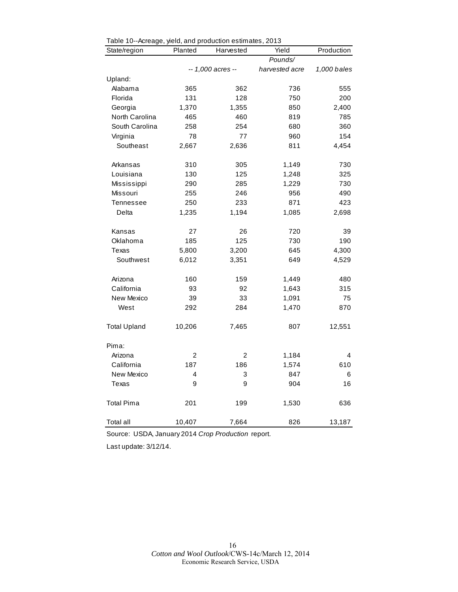| rable To-Acreage, yield, and production estimates, 2010<br>State/region | Planted        | Harvested         | Yield          | Production  |
|-------------------------------------------------------------------------|----------------|-------------------|----------------|-------------|
|                                                                         |                |                   | Pounds/        |             |
|                                                                         |                | -- 1,000 acres -- | harvested acre | 1,000 bales |
| Upland:                                                                 |                |                   |                |             |
| Alabama                                                                 | 365            | 362               | 736            | 555         |
| Florida                                                                 | 131            | 128               | 750            | 200         |
| Georgia                                                                 | 1,370          | 1,355             | 850            | 2,400       |
| North Carolina                                                          | 465            | 460               | 819            | 785         |
| South Carolina                                                          | 258            | 254               | 680            | 360         |
| Virginia                                                                | 78             | 77                | 960            | 154         |
| Southeast                                                               | 2,667          | 2,636             | 811            | 4,454       |
| Arkansas                                                                | 310            | 305               | 1,149          | 730         |
| Louisiana                                                               | 130            | 125               | 1,248          | 325         |
| Mississippi                                                             | 290            | 285               | 1,229          | 730         |
| Missouri                                                                | 255            | 246               | 956            | 490         |
| Tennessee                                                               | 250            | 233               | 871            | 423         |
| Delta                                                                   | 1,235          | 1,194             | 1,085          | 2,698       |
| Kansas                                                                  | 27             | 26                | 720            | 39          |
| Oklahoma                                                                | 185            | 125               | 730            | 190         |
| Texas                                                                   | 5,800          | 3,200             | 645            | 4,300       |
| Southwest                                                               | 6,012          | 3,351             | 649            | 4,529       |
| Arizona                                                                 | 160            | 159               | 1,449          | 480         |
| California                                                              | 93             | 92                | 1,643          | 315         |
| New Mexico                                                              | 39             | 33                | 1,091          | 75          |
| West                                                                    | 292            | 284               | 1,470          | 870         |
| <b>Total Upland</b>                                                     | 10,206         | 7,465             | 807            | 12,551      |
| Pima:                                                                   |                |                   |                |             |
| Arizona                                                                 | $\overline{c}$ | 2                 | 1,184          | 4           |
| California                                                              | 187            | 186               | 1,574          | 610         |
| New Mexico                                                              | 4              | 3                 | 847            | 6           |
| Texas                                                                   | 9              | 9                 | 904            | 16          |
| <b>Total Pima</b>                                                       | 201            | 199               | 1,530          | 636         |
| Total all                                                               | 10,407         | 7,664             | 826            | 13,187      |

| Table 10--Acreage, yield, and production estimates, 2013 |  |  |
|----------------------------------------------------------|--|--|
|                                                          |  |  |

Source: USDA, January 2014 *Crop Production* report.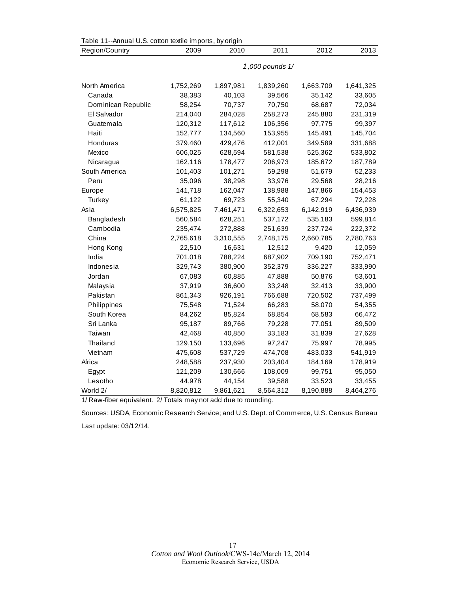| Table 11--Annual U.S. cotton textile imports, by origin |                 |           |           |           |           |  |  |  |
|---------------------------------------------------------|-----------------|-----------|-----------|-----------|-----------|--|--|--|
| Region/Country                                          | 2009            | 2010      | 2011      | 2012      | 2013      |  |  |  |
|                                                         | 1,000 pounds 1/ |           |           |           |           |  |  |  |
|                                                         |                 |           |           |           |           |  |  |  |
| North America                                           | 1,752,269       | 1,897,981 | 1,839,260 | 1,663,709 | 1,641,325 |  |  |  |
| Canada                                                  | 38,383          | 40,103    | 39,566    | 35,142    | 33,605    |  |  |  |
| Dominican Republic                                      | 58,254          | 70,737    | 70,750    | 68,687    | 72,034    |  |  |  |
| El Salvador                                             | 214,040         | 284,028   | 258,273   | 245,880   | 231,319   |  |  |  |
| Guatemala                                               | 120,312         | 117,612   | 106,356   | 97,775    | 99,397    |  |  |  |
| Haiti                                                   | 152,777         | 134,560   | 153,955   | 145,491   | 145,704   |  |  |  |
| Honduras                                                | 379,460         | 429,476   | 412,001   | 349,589   | 331,688   |  |  |  |
| Mexico                                                  | 606,025         | 628,594   | 581,538   | 525,362   | 533,802   |  |  |  |
| Nicaragua                                               | 162,116         | 178,477   | 206,973   | 185,672   | 187,789   |  |  |  |
| South America                                           | 101,403         | 101,271   | 59,298    | 51,679    | 52,233    |  |  |  |
| Peru                                                    | 35,096          | 38,298    | 33,976    | 29,568    | 28,216    |  |  |  |
| Europe                                                  | 141,718         | 162,047   | 138,988   | 147,866   | 154,453   |  |  |  |
| Turkey                                                  | 61,122          | 69,723    | 55,340    | 67,294    | 72,228    |  |  |  |
| Asia                                                    | 6,575,825       | 7,461,471 | 6,322,653 | 6,142,919 | 6,436,939 |  |  |  |
| Bangladesh                                              | 560,584         | 628,251   | 537,172   | 535,183   | 599,814   |  |  |  |
| Cambodia                                                | 235,474         | 272,888   | 251,639   | 237,724   | 222,372   |  |  |  |
| China                                                   | 2,765,618       | 3,310,555 | 2,748,175 | 2,660,785 | 2,780,763 |  |  |  |
| Hong Kong                                               | 22,510          | 16,631    | 12,512    | 9,420     | 12,059    |  |  |  |
| India                                                   | 701,018         | 788,224   | 687,902   | 709,190   | 752,471   |  |  |  |
| Indonesia                                               | 329,743         | 380,900   | 352,379   | 336,227   | 333,990   |  |  |  |
| Jordan                                                  | 67,083          | 60,885    | 47,888    | 50,876    | 53,601    |  |  |  |
| Malaysia                                                | 37,919          | 36,600    | 33,248    | 32,413    | 33,900    |  |  |  |
| Pakistan                                                | 861,343         | 926,191   | 766,688   | 720,502   | 737,499   |  |  |  |
| Philippines                                             | 75,548          | 71,524    | 66,283    | 58,070    | 54,355    |  |  |  |
| South Korea                                             | 84,262          | 85,824    | 68,854    | 68,583    | 66,472    |  |  |  |
| Sri Lanka                                               | 95,187          | 89,766    | 79,228    | 77,051    | 89,509    |  |  |  |
| Taiwan                                                  | 42,468          | 40,850    | 33,183    | 31,839    | 27,628    |  |  |  |
| Thailand                                                | 129,150         | 133,696   | 97,247    | 75,997    | 78,995    |  |  |  |
| Vietnam                                                 | 475,608         | 537,729   | 474,708   | 483,033   | 541,919   |  |  |  |
| Africa                                                  | 248,588         | 237,930   | 203,404   | 184,169   | 178,919   |  |  |  |
| Egypt                                                   | 121,209         | 130,666   | 108,009   | 99,751    | 95,050    |  |  |  |
| Lesotho                                                 | 44,978          | 44,154    | 39,588    | 33,523    | 33,455    |  |  |  |
| World 2/                                                | 8,820,812       | 9,861,621 | 8,564,312 | 8,190,888 | 8,464,276 |  |  |  |

Sources: USDA, Economic Research Service; and U.S. Dept. of Commerce, U.S. Census Bureau Last update: 03/12/14.